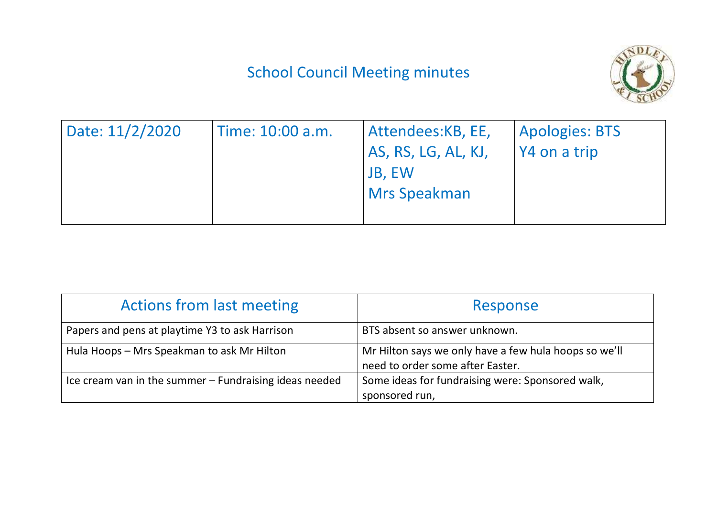## School Council Meeting minutes



| Date: 11/2/2020 | Time: 10:00 a.m. | Attendees:KB, EE,   | <b>Apologies: BTS</b> |
|-----------------|------------------|---------------------|-----------------------|
|                 |                  | AS, RS, LG, AL, KJ, | $\sqrt{4}$ on a trip  |
|                 |                  | <b>JB, EW</b>       |                       |
|                 |                  | <b>Mrs Speakman</b> |                       |
|                 |                  |                     |                       |

| <b>Actions from last meeting</b>                       | Response                                                                                  |  |
|--------------------------------------------------------|-------------------------------------------------------------------------------------------|--|
| Papers and pens at playtime Y3 to ask Harrison         | BTS absent so answer unknown.                                                             |  |
| Hula Hoops - Mrs Speakman to ask Mr Hilton             | Mr Hilton says we only have a few hula hoops so we'll<br>need to order some after Easter. |  |
| Ice cream van in the summer - Fundraising ideas needed | Some ideas for fundraising were: Sponsored walk,<br>sponsored run,                        |  |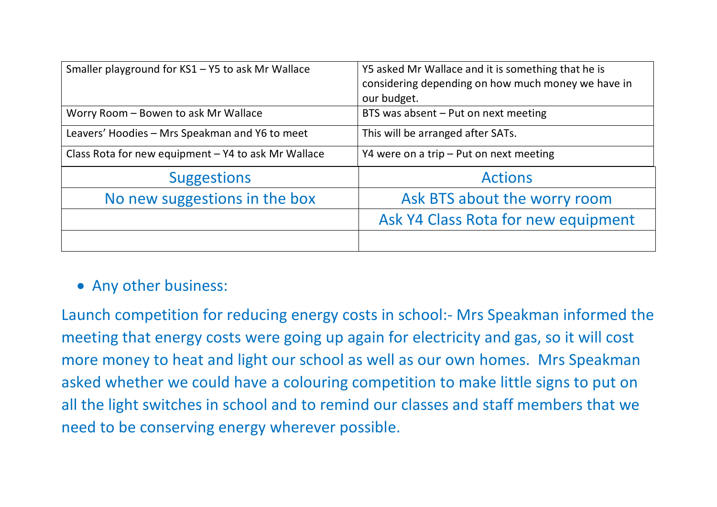| Smaller playground for KS1 - Y5 to ask Mr Wallace   | Y5 asked Mr Wallace and it is something that he is<br>considering depending on how much money we have in<br>our budget. |  |
|-----------------------------------------------------|-------------------------------------------------------------------------------------------------------------------------|--|
| Worry Room - Bowen to ask Mr Wallace                | BTS was absent - Put on next meeting                                                                                    |  |
| Leavers' Hoodies - Mrs Speakman and Y6 to meet      | This will be arranged after SATs.                                                                                       |  |
| Class Rota for new equipment - Y4 to ask Mr Wallace | Y4 were on a trip $-$ Put on next meeting                                                                               |  |
| <b>Suggestions</b>                                  | <b>Actions</b>                                                                                                          |  |
| No new suggestions in the box                       | Ask BTS about the worry room                                                                                            |  |
|                                                     | Ask Y4 Class Rota for new equipment                                                                                     |  |
|                                                     |                                                                                                                         |  |

## • Any other business:

Launch competition for reducing energy costs in school:- Mrs Speakman informed the meeting that energy costs were going up again for electricity and gas, so it will cost more money to heat and light our school as well as our own homes. Mrs Speakman asked whether we could have a colouring competition to make little signs to put on all the light switches in school and to remind our classes and staff members that we need to be conserving energy wherever possible.